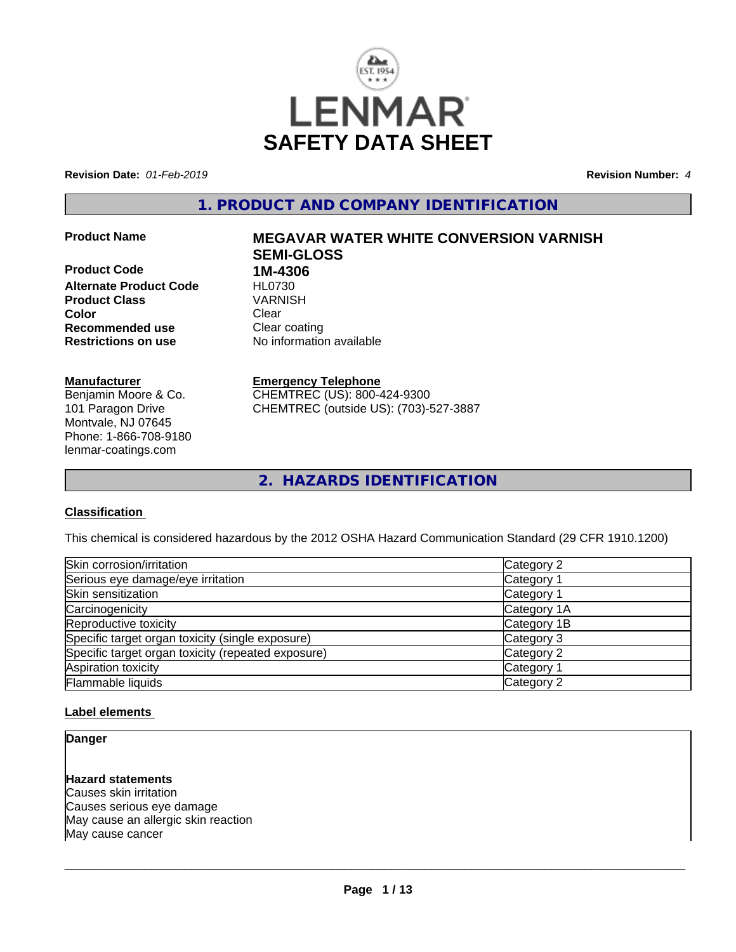

**Revision Date:** *01-Feb-2019* **Revision Number:** *4*

**1. PRODUCT AND COMPANY IDENTIFICATION**

**Product Code 1M-4306**<br>**Alternate Product Code HL0730 Alternate Product Code HL0730**<br>Product Class WARNISH **Product Class Color** Clear Clear **Recommended use** Clear coating **Restrictions on use** No information available

#### **Manufacturer**

Benjamin Moore & Co. 101 Paragon Drive Montvale, NJ 07645 Phone: 1-866-708-9180 lenmar-coatings.com

# **Product Name MEGAVAR WATER WHITE CONVERSION VARNISH SEMI-GLOSS**

**Emergency Telephone** CHEMTREC (US): 800-424-9300 CHEMTREC (outside US): (703)-527-3887

**2. HAZARDS IDENTIFICATION**

#### **Classification**

This chemical is considered hazardous by the 2012 OSHA Hazard Communication Standard (29 CFR 1910.1200)

| Skin corrosion/irritation                          | Category 2            |
|----------------------------------------------------|-----------------------|
| Serious eye damage/eye irritation                  | Category 1            |
| Skin sensitization                                 | Category 1            |
| Carcinogenicity                                    | Category 1A           |
| Reproductive toxicity                              | Category 1B           |
| Specific target organ toxicity (single exposure)   | Category 3            |
| Specific target organ toxicity (repeated exposure) | Category 2            |
| Aspiration toxicity                                | Category <sup>2</sup> |
| Flammable liquids                                  | Category 2            |

#### **Label elements**

#### **Danger**

# **Hazard statements**

Causes skin irritation Causes serious eye damage May cause an allergic skin reaction May cause cancer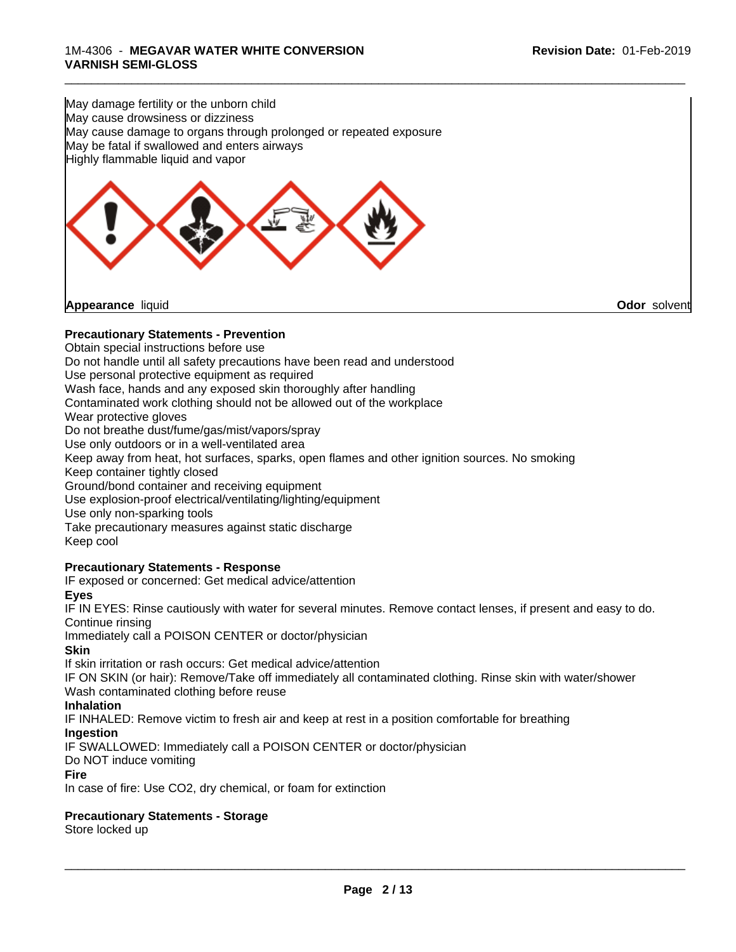May damage fertility or the unborn child May cause drowsiness or dizziness May cause damage to organs through prolonged or repeated exposure May be fatal if swallowed and enters airways Highly flammable liquid and vapor



#### **Precautionary Statements - Prevention**

Obtain special instructions before use

Do not handle until all safety precautions have been read and understood

Use personal protective equipment as required

Wash face, hands and any exposed skin thoroughly after handling

Contaminated work clothing should not be allowed out of the workplace

Wear protective gloves

Do not breathe dust/fume/gas/mist/vapors/spray

Use only outdoors or in a well-ventilated area

Keep away from heat, hot surfaces, sparks, open flames and other ignition sources. No smoking

Keep container tightly closed

Ground/bond container and receiving equipment

Use explosion-proof electrical/ventilating/lighting/equipment

Use only non-sparking tools

Take precautionary measures against static discharge Keep cool

#### **Precautionary Statements - Response**

IF exposed or concerned: Get medical advice/attention

**Eyes**

IF IN EYES: Rinse cautiously with water forseveral minutes. Remove contact lenses, if present and easy to do. Continue rinsing

Immediately call a POISON CENTER or doctor/physician

**Skin**

If skin irritation or rash occurs: Get medical advice/attention

IF ON SKIN (or hair): Remove/Take off immediately all contaminated clothing. Rinse skin with water/shower Wash contaminated clothing before reuse

**Inhalation**

IF INHALED: Remove victim to fresh air and keep at rest in a position comfortable for breathing

**Ingestion**

IF SWALLOWED: Immediately call a POISON CENTER or doctor/physician

Do NOT induce vomiting

#### **Fire**

In case of fire: Use CO2, dry chemical, or foam for extinction

#### **Precautionary Statements - Storage**

Store locked up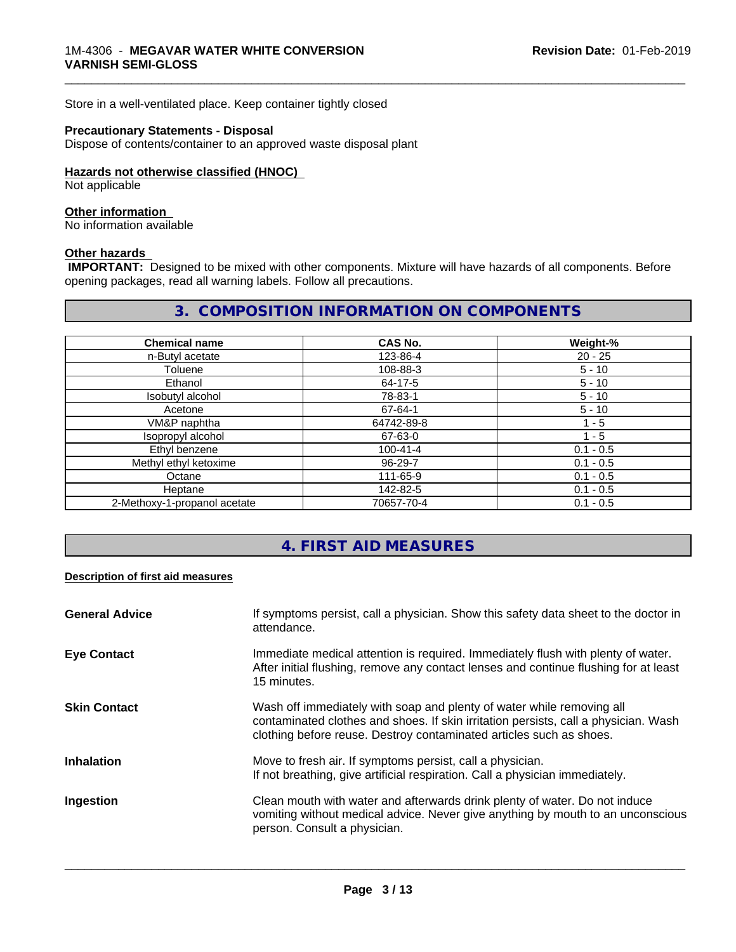Store in a well-ventilated place. Keep container tightly closed

#### **Precautionary Statements - Disposal**

Dispose of contents/container to an approved waste disposal plant

#### **Hazards not otherwise classified (HNOC)**

Not applicable

#### **Other information**

No information available

#### **Other hazards**

 **IMPORTANT:** Designed to be mixed with other components. Mixture will have hazards of all components. Before opening packages, read all warning labels. Follow all precautions.

# **3. COMPOSITION INFORMATION ON COMPONENTS**

\_\_\_\_\_\_\_\_\_\_\_\_\_\_\_\_\_\_\_\_\_\_\_\_\_\_\_\_\_\_\_\_\_\_\_\_\_\_\_\_\_\_\_\_\_\_\_\_\_\_\_\_\_\_\_\_\_\_\_\_\_\_\_\_\_\_\_\_\_\_\_\_\_\_\_\_\_\_\_\_\_\_\_\_\_\_\_\_\_\_\_\_\_

| <b>Chemical name</b>         | CAS No.        | Weight-%    |
|------------------------------|----------------|-------------|
| n-Butyl acetate              | 123-86-4       | $20 - 25$   |
| Toluene                      | 108-88-3       | $5 - 10$    |
| Ethanol                      | 64-17-5        | $5 - 10$    |
| Isobutyl alcohol             | 78-83-1        | $5 - 10$    |
| Acetone                      | 67-64-1        | $5 - 10$    |
| VM&P naphtha                 | 64742-89-8     | 1 - 5       |
| Isopropyl alcohol            | 67-63-0        | 1 - 5       |
| Ethyl benzene                | $100 - 41 - 4$ | $0.1 - 0.5$ |
| Methyl ethyl ketoxime        | 96-29-7        | $0.1 - 0.5$ |
| Octane                       | 111-65-9       | $0.1 - 0.5$ |
| Heptane                      | 142-82-5       | $0.1 - 0.5$ |
| 2-Methoxy-1-propanol acetate | 70657-70-4     | $0.1 - 0.5$ |

# **4. FIRST AID MEASURES**

#### **Description of first aid measures**

| <b>General Advice</b> | If symptoms persist, call a physician. Show this safety data sheet to the doctor in<br>attendance.                                                                                                                                  |
|-----------------------|-------------------------------------------------------------------------------------------------------------------------------------------------------------------------------------------------------------------------------------|
| <b>Eye Contact</b>    | Immediate medical attention is required. Immediately flush with plenty of water.<br>After initial flushing, remove any contact lenses and continue flushing for at least<br>15 minutes.                                             |
| <b>Skin Contact</b>   | Wash off immediately with soap and plenty of water while removing all<br>contaminated clothes and shoes. If skin irritation persists, call a physician. Wash<br>clothing before reuse. Destroy contaminated articles such as shoes. |
| <b>Inhalation</b>     | Move to fresh air. If symptoms persist, call a physician.<br>If not breathing, give artificial respiration. Call a physician immediately.                                                                                           |
| Ingestion             | Clean mouth with water and afterwards drink plenty of water. Do not induce<br>vomiting without medical advice. Never give anything by mouth to an unconscious<br>person. Consult a physician.                                       |
|                       |                                                                                                                                                                                                                                     |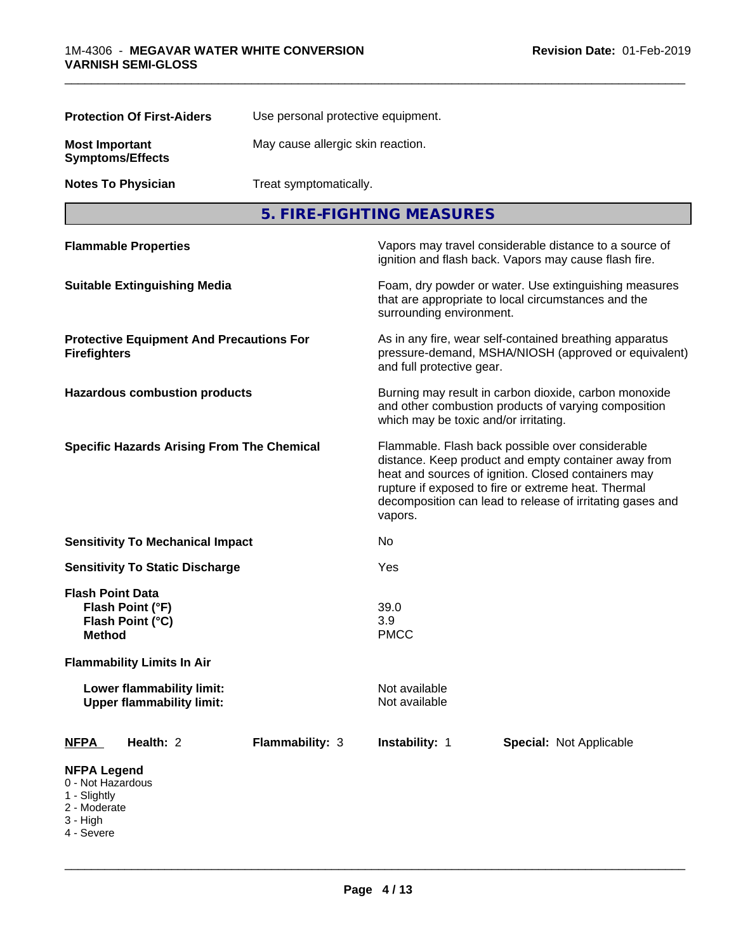|                                                                                     | <b>Protection Of First-Aiders</b>                             | Use personal protective equipment.                                                                                                                                                                                                                                                             |                                                                                                                                                        |                                                                                                                 |  |  |
|-------------------------------------------------------------------------------------|---------------------------------------------------------------|------------------------------------------------------------------------------------------------------------------------------------------------------------------------------------------------------------------------------------------------------------------------------------------------|--------------------------------------------------------------------------------------------------------------------------------------------------------|-----------------------------------------------------------------------------------------------------------------|--|--|
| <b>Most Important</b>                                                               | <b>Symptoms/Effects</b>                                       |                                                                                                                                                                                                                                                                                                | May cause allergic skin reaction.<br>Treat symptomatically.                                                                                            |                                                                                                                 |  |  |
|                                                                                     | <b>Notes To Physician</b>                                     |                                                                                                                                                                                                                                                                                                |                                                                                                                                                        |                                                                                                                 |  |  |
|                                                                                     |                                                               |                                                                                                                                                                                                                                                                                                | 5. FIRE-FIGHTING MEASURES                                                                                                                              |                                                                                                                 |  |  |
|                                                                                     | <b>Flammable Properties</b>                                   |                                                                                                                                                                                                                                                                                                |                                                                                                                                                        | Vapors may travel considerable distance to a source of<br>ignition and flash back. Vapors may cause flash fire. |  |  |
|                                                                                     | <b>Suitable Extinguishing Media</b>                           |                                                                                                                                                                                                                                                                                                | Foam, dry powder or water. Use extinguishing measures<br>that are appropriate to local circumstances and the<br>surrounding environment.               |                                                                                                                 |  |  |
| <b>Protective Equipment And Precautions For</b><br><b>Firefighters</b>              |                                                               | As in any fire, wear self-contained breathing apparatus<br>pressure-demand, MSHA/NIOSH (approved or equivalent)<br>and full protective gear.                                                                                                                                                   |                                                                                                                                                        |                                                                                                                 |  |  |
|                                                                                     | <b>Hazardous combustion products</b>                          |                                                                                                                                                                                                                                                                                                | Burning may result in carbon dioxide, carbon monoxide<br>and other combustion products of varying composition<br>which may be toxic and/or irritating. |                                                                                                                 |  |  |
| <b>Specific Hazards Arising From The Chemical</b>                                   |                                                               | Flammable. Flash back possible over considerable<br>distance. Keep product and empty container away from<br>heat and sources of ignition. Closed containers may<br>rupture if exposed to fire or extreme heat. Thermal<br>decomposition can lead to release of irritating gases and<br>vapors. |                                                                                                                                                        |                                                                                                                 |  |  |
|                                                                                     | <b>Sensitivity To Mechanical Impact</b>                       |                                                                                                                                                                                                                                                                                                | No                                                                                                                                                     |                                                                                                                 |  |  |
|                                                                                     | <b>Sensitivity To Static Discharge</b>                        |                                                                                                                                                                                                                                                                                                | Yes                                                                                                                                                    |                                                                                                                 |  |  |
| <b>Flash Point Data</b><br>Method                                                   | Flash Point (°F)<br>Flash Point (°C)                          |                                                                                                                                                                                                                                                                                                | 39.0<br>3.9<br><b>PMCC</b>                                                                                                                             |                                                                                                                 |  |  |
|                                                                                     | <b>Flammability Limits In Air</b>                             |                                                                                                                                                                                                                                                                                                |                                                                                                                                                        |                                                                                                                 |  |  |
|                                                                                     | Lower flammability limit:<br><b>Upper flammability limit:</b> |                                                                                                                                                                                                                                                                                                | Not available<br>Not available                                                                                                                         |                                                                                                                 |  |  |
| <u>NFPA</u>                                                                         | Health: 2                                                     | Flammability: 3                                                                                                                                                                                                                                                                                | Instability: 1                                                                                                                                         | <b>Special: Not Applicable</b>                                                                                  |  |  |
| <b>NFPA Legend</b><br>0 - Not Hazardous<br>1 - Slightly<br>2 - Moderate<br>3 - High |                                                               |                                                                                                                                                                                                                                                                                                |                                                                                                                                                        |                                                                                                                 |  |  |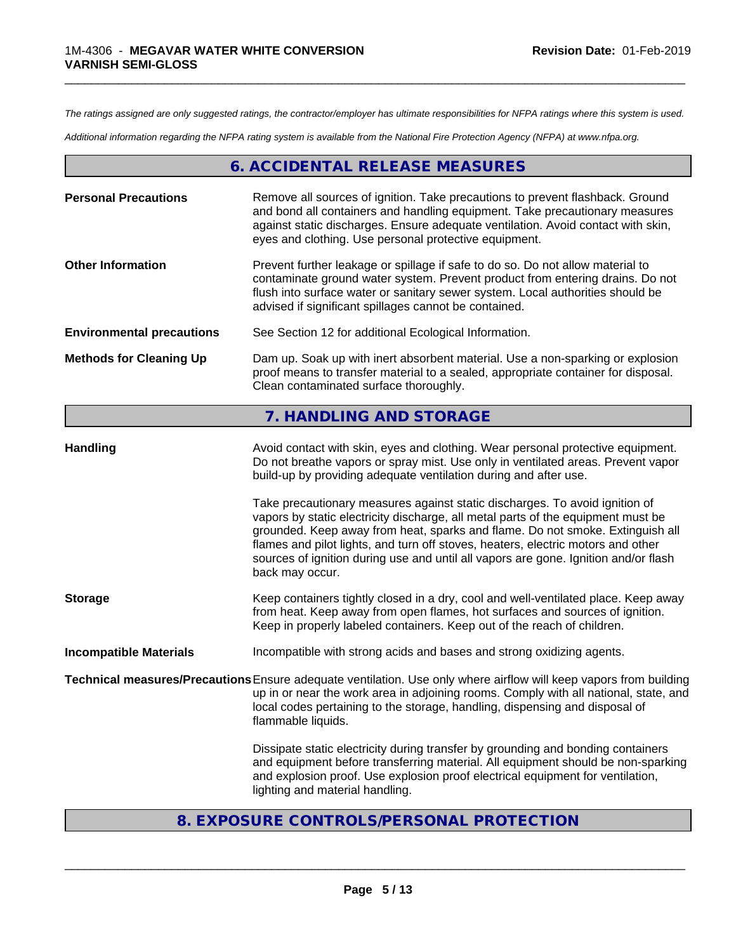*The ratings assigned are only suggested ratings, the contractor/employer has ultimate responsibilities for NFPA ratings where this system is used.*

\_\_\_\_\_\_\_\_\_\_\_\_\_\_\_\_\_\_\_\_\_\_\_\_\_\_\_\_\_\_\_\_\_\_\_\_\_\_\_\_\_\_\_\_\_\_\_\_\_\_\_\_\_\_\_\_\_\_\_\_\_\_\_\_\_\_\_\_\_\_\_\_\_\_\_\_\_\_\_\_\_\_\_\_\_\_\_\_\_\_\_\_\_

*Additional information regarding the NFPA rating system is available from the National Fire Protection Agency (NFPA) at www.nfpa.org.*

# **6. ACCIDENTAL RELEASE MEASURES**

| <b>Personal Precautions</b>      | Remove all sources of ignition. Take precautions to prevent flashback. Ground<br>and bond all containers and handling equipment. Take precautionary measures<br>against static discharges. Ensure adequate ventilation. Avoid contact with skin,<br>eyes and clothing. Use personal protective equipment.  |
|----------------------------------|------------------------------------------------------------------------------------------------------------------------------------------------------------------------------------------------------------------------------------------------------------------------------------------------------------|
| <b>Other Information</b>         | Prevent further leakage or spillage if safe to do so. Do not allow material to<br>contaminate ground water system. Prevent product from entering drains. Do not<br>flush into surface water or sanitary sewer system. Local authorities should be<br>advised if significant spillages cannot be contained. |
| <b>Environmental precautions</b> | See Section 12 for additional Ecological Information.                                                                                                                                                                                                                                                      |
| <b>Methods for Cleaning Up</b>   | Dam up. Soak up with inert absorbent material. Use a non-sparking or explosion<br>proof means to transfer material to a sealed, appropriate container for disposal.<br>Clean contaminated surface thoroughly.                                                                                              |

# **7. HANDLING AND STORAGE**

| <b>Handling</b>               | Avoid contact with skin, eyes and clothing. Wear personal protective equipment.<br>Do not breathe vapors or spray mist. Use only in ventilated areas. Prevent vapor<br>build-up by providing adequate ventilation during and after use.                                                                                                                                                                                                        |  |  |
|-------------------------------|------------------------------------------------------------------------------------------------------------------------------------------------------------------------------------------------------------------------------------------------------------------------------------------------------------------------------------------------------------------------------------------------------------------------------------------------|--|--|
|                               | Take precautionary measures against static discharges. To avoid ignition of<br>vapors by static electricity discharge, all metal parts of the equipment must be<br>grounded. Keep away from heat, sparks and flame. Do not smoke. Extinguish all<br>flames and pilot lights, and turn off stoves, heaters, electric motors and other<br>sources of ignition during use and until all vapors are gone. Ignition and/or flash<br>back may occur. |  |  |
| <b>Storage</b>                | Keep containers tightly closed in a dry, cool and well-ventilated place. Keep away<br>from heat. Keep away from open flames, hot surfaces and sources of ignition.<br>Keep in properly labeled containers. Keep out of the reach of children.                                                                                                                                                                                                  |  |  |
| <b>Incompatible Materials</b> | Incompatible with strong acids and bases and strong oxidizing agents.                                                                                                                                                                                                                                                                                                                                                                          |  |  |
|                               | Technical measures/Precautions Ensure adequate ventilation. Use only where airflow will keep vapors from building<br>up in or near the work area in adjoining rooms. Comply with all national, state, and<br>local codes pertaining to the storage, handling, dispensing and disposal of<br>flammable liquids.                                                                                                                                 |  |  |
|                               | Dissipate static electricity during transfer by grounding and bonding containers<br>and equipment before transferring material. All equipment should be non-sparking<br>and explosion proof. Use explosion proof electrical equipment for ventilation,<br>lighting and material handling.                                                                                                                                                      |  |  |
|                               |                                                                                                                                                                                                                                                                                                                                                                                                                                                |  |  |

# **8. EXPOSURE CONTROLS/PERSONAL PROTECTION**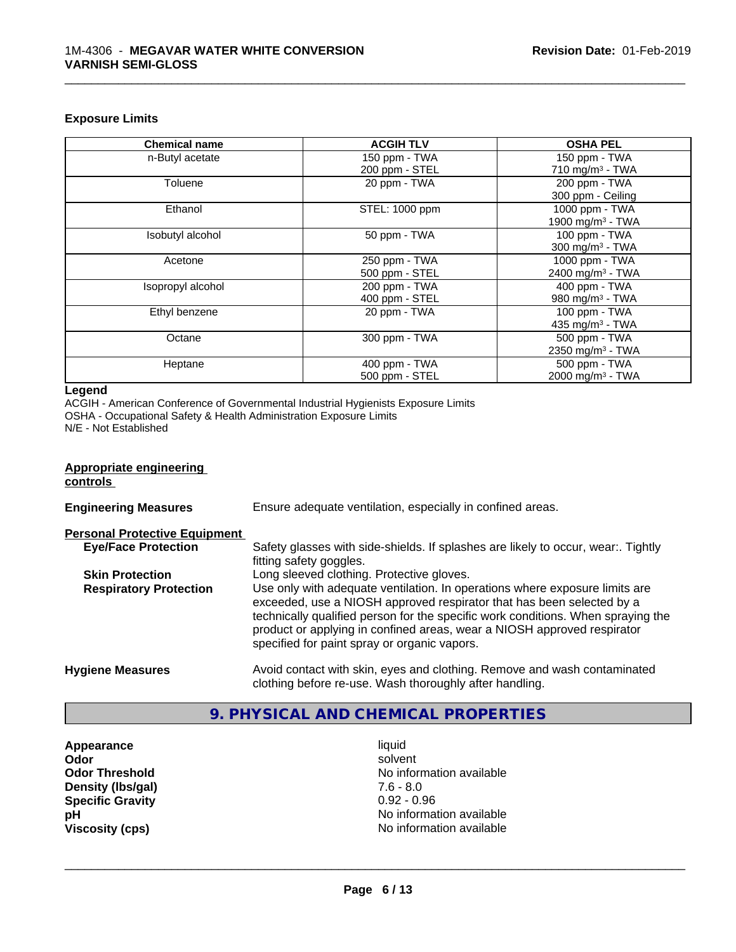#### **Exposure Limits**

| <b>Chemical name</b> | <b>ACGIH TLV</b> | <b>OSHA PEL</b>              |
|----------------------|------------------|------------------------------|
| n-Butyl acetate      | 150 ppm - TWA    | 150 ppm - TWA                |
|                      | 200 ppm - STEL   | 710 mg/m $3$ - TWA           |
| Toluene              | 20 ppm - TWA     | 200 ppm - TWA                |
|                      |                  | 300 ppm - Ceiling            |
| Ethanol              | STEL: 1000 ppm   | 1000 ppm - TWA               |
|                      |                  | 1900 mg/m <sup>3</sup> - TWA |
| Isobutyl alcohol     | 50 ppm - TWA     | 100 ppm - TWA                |
|                      |                  | 300 mg/m $3$ - TWA           |
| Acetone              | 250 ppm - TWA    | 1000 ppm - TWA               |
|                      | 500 ppm - STEL   | 2400 mg/m <sup>3</sup> - TWA |
| Isopropyl alcohol    | 200 ppm - TWA    | 400 ppm - TWA                |
|                      | 400 ppm - STEL   | 980 mg/m <sup>3</sup> - TWA  |
| Ethyl benzene        | 20 ppm - TWA     | 100 ppm - TWA                |
|                      |                  | 435 mg/m <sup>3</sup> - TWA  |
| Octane               | 300 ppm - TWA    | 500 ppm - TWA                |
|                      |                  | 2350 mg/m <sup>3</sup> - TWA |
| Heptane              | 400 ppm - TWA    | 500 ppm - TWA                |
|                      | 500 ppm - STEL   | 2000 mg/m <sup>3</sup> - TWA |

\_\_\_\_\_\_\_\_\_\_\_\_\_\_\_\_\_\_\_\_\_\_\_\_\_\_\_\_\_\_\_\_\_\_\_\_\_\_\_\_\_\_\_\_\_\_\_\_\_\_\_\_\_\_\_\_\_\_\_\_\_\_\_\_\_\_\_\_\_\_\_\_\_\_\_\_\_\_\_\_\_\_\_\_\_\_\_\_\_\_\_\_\_

#### **Legend**

ACGIH - American Conference of Governmental Industrial Hygienists Exposure Limits

OSHA - Occupational Safety & Health Administration Exposure Limits N/E - Not Established

#### **Appropriate engineering controls**

| <b>Engineering Measures</b>          | Ensure adequate ventilation, especially in confined areas.                                                                                                                                                                                                                                                                                                          |  |  |
|--------------------------------------|---------------------------------------------------------------------------------------------------------------------------------------------------------------------------------------------------------------------------------------------------------------------------------------------------------------------------------------------------------------------|--|--|
| <b>Personal Protective Equipment</b> |                                                                                                                                                                                                                                                                                                                                                                     |  |  |
| <b>Eye/Face Protection</b>           | Safety glasses with side-shields. If splashes are likely to occur, wear:. Tightly<br>fitting safety goggles.                                                                                                                                                                                                                                                        |  |  |
| <b>Skin Protection</b>               | Long sleeved clothing. Protective gloves.                                                                                                                                                                                                                                                                                                                           |  |  |
| <b>Respiratory Protection</b>        | Use only with adequate ventilation. In operations where exposure limits are<br>exceeded, use a NIOSH approved respirator that has been selected by a<br>technically qualified person for the specific work conditions. When spraying the<br>product or applying in confined areas, wear a NIOSH approved respirator<br>specified for paint spray or organic vapors. |  |  |
| <b>Hygiene Measures</b>              | Avoid contact with skin, eyes and clothing. Remove and wash contaminated<br>clothing before re-use. Wash thoroughly after handling.                                                                                                                                                                                                                                 |  |  |

# **9. PHYSICAL AND CHEMICAL PROPERTIES**

**Appearance** liquid **Density (Ibs/gal)** 7.6 - 8.0<br> **Specific Gravity** 0.92 - 0.96 **Specific Gravity** 

**Odor** solvent **Odor Threshold**<br> **Density (Ibs/qal)**<br> **Density (Ibs/qal)**<br> **Density (Ibs/qal)**<br> **Density (Ibs/qal) pH** No information available **Viscosity (cps)** No information available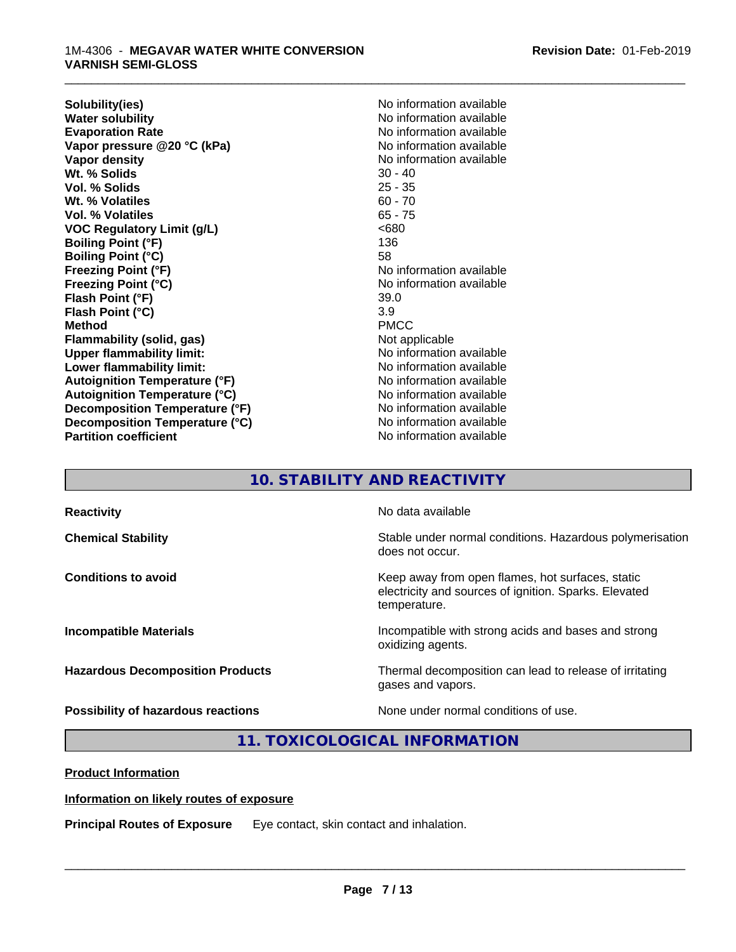**Solubility(ies)** No information available **Water solubility**<br> **Evaporation Rate**<br> **Evaporation Rate**<br> **Evaporation Rate Vapor pressure @20 °C (kPa)** No information available<br> **Vapor density** No information available Wt. % Solids **Vol. % Solids** 25 - 35 **Wt. % Volatiles** 60 - 70 **Vol. % Volatiles** 65 - 75 **VOC Regulatory Limit (g/L)** <680 **Boiling Point (°F)** 136 **Boiling Point (°C)** 58 **Freezing Point (°F)**<br> **Freezing Point (°C)**<br> **Freezing Point (°C)**<br> **No information available Flash Point (°F)** 39.0 **Flash Point (°C)** 3.9<br> **Method** PMCC **Method** PMCC **Flammability (solid, gas)** Not applicable **Upper flammability limit:** No information available **Lower flammability limit:** No information available **Lower** flammability limit: **Autoignition Temperature (°F)** No information available **Autoignition Temperature (°C)** No information available **Decomposition Temperature (°F)** No information available **Decomposition Temperature (°C)** No information available **Partition coefficient CONSTRANSISTS No information available** 

**Evaporation Rate** No information available **No information available**<br>30 - 40 **Freezing Point (°C)** No information available

\_\_\_\_\_\_\_\_\_\_\_\_\_\_\_\_\_\_\_\_\_\_\_\_\_\_\_\_\_\_\_\_\_\_\_\_\_\_\_\_\_\_\_\_\_\_\_\_\_\_\_\_\_\_\_\_\_\_\_\_\_\_\_\_\_\_\_\_\_\_\_\_\_\_\_\_\_\_\_\_\_\_\_\_\_\_\_\_\_\_\_\_\_

# **10. STABILITY AND REACTIVITY**

| <b>Reactivity</b>                         | No data available                                                                                                         |
|-------------------------------------------|---------------------------------------------------------------------------------------------------------------------------|
| <b>Chemical Stability</b>                 | Stable under normal conditions. Hazardous polymerisation<br>does not occur.                                               |
| <b>Conditions to avoid</b>                | Keep away from open flames, hot surfaces, static<br>electricity and sources of ignition. Sparks. Elevated<br>temperature. |
| <b>Incompatible Materials</b>             | Incompatible with strong acids and bases and strong<br>oxidizing agents.                                                  |
| <b>Hazardous Decomposition Products</b>   | Thermal decomposition can lead to release of irritating<br>gases and vapors.                                              |
| <b>Possibility of hazardous reactions</b> | None under normal conditions of use.                                                                                      |

# **11. TOXICOLOGICAL INFORMATION**

**Product Information**

#### **Information on likely routes of exposure**

**Principal Routes of Exposure** Eye contact, skin contact and inhalation.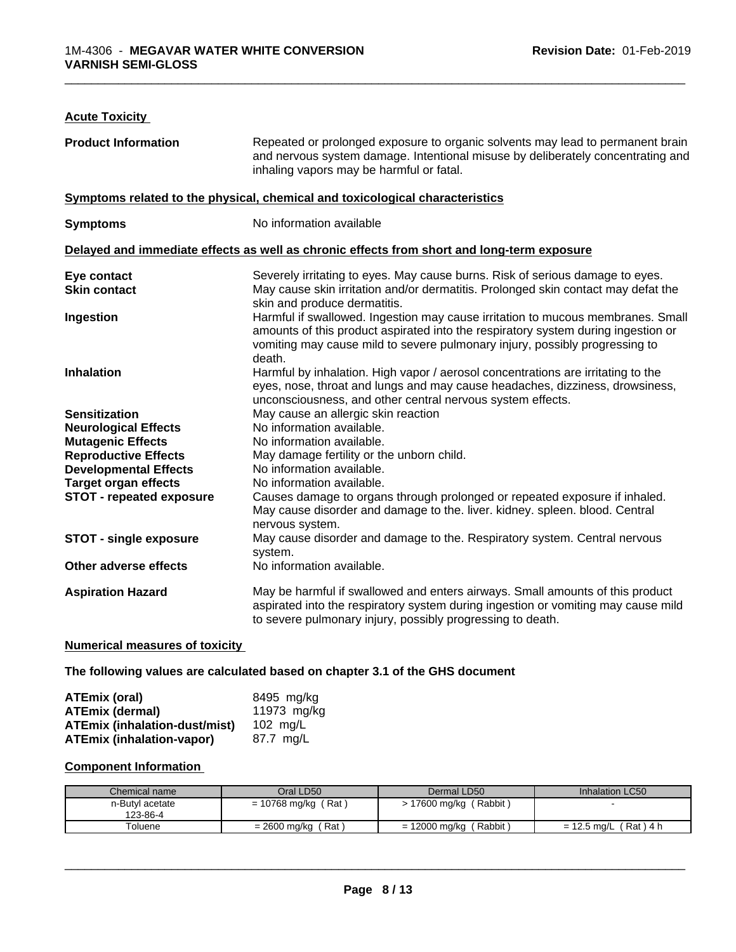| <b>Acute Toxicity</b>                                                                                                                                                                                                                       |                                                                                                                                                                                                                                                               |  |
|---------------------------------------------------------------------------------------------------------------------------------------------------------------------------------------------------------------------------------------------|---------------------------------------------------------------------------------------------------------------------------------------------------------------------------------------------------------------------------------------------------------------|--|
| <b>Product Information</b><br>Repeated or prolonged exposure to organic solvents may lead to permanent brain<br>and nervous system damage. Intentional misuse by deliberately concentrating and<br>inhaling vapors may be harmful or fatal. |                                                                                                                                                                                                                                                               |  |
|                                                                                                                                                                                                                                             | Symptoms related to the physical, chemical and toxicological characteristics                                                                                                                                                                                  |  |
| <b>Symptoms</b>                                                                                                                                                                                                                             | No information available                                                                                                                                                                                                                                      |  |
|                                                                                                                                                                                                                                             | Delayed and immediate effects as well as chronic effects from short and long-term exposure                                                                                                                                                                    |  |
| Eye contact                                                                                                                                                                                                                                 | Severely irritating to eyes. May cause burns. Risk of serious damage to eyes.                                                                                                                                                                                 |  |
| <b>Skin contact</b>                                                                                                                                                                                                                         | May cause skin irritation and/or dermatitis. Prolonged skin contact may defat the<br>skin and produce dermatitis.                                                                                                                                             |  |
| Ingestion                                                                                                                                                                                                                                   | Harmful if swallowed. Ingestion may cause irritation to mucous membranes. Small<br>amounts of this product aspirated into the respiratory system during ingestion or<br>vomiting may cause mild to severe pulmonary injury, possibly progressing to<br>death. |  |
| Inhalation                                                                                                                                                                                                                                  | Harmful by inhalation. High vapor / aerosol concentrations are irritating to the<br>eyes, nose, throat and lungs and may cause headaches, dizziness, drowsiness,<br>unconsciousness, and other central nervous system effects.                                |  |
| <b>Sensitization</b>                                                                                                                                                                                                                        | May cause an allergic skin reaction                                                                                                                                                                                                                           |  |
| <b>Neurological Effects</b>                                                                                                                                                                                                                 | No information available.                                                                                                                                                                                                                                     |  |
| <b>Mutagenic Effects</b>                                                                                                                                                                                                                    | No information available.                                                                                                                                                                                                                                     |  |
| <b>Reproductive Effects</b>                                                                                                                                                                                                                 | May damage fertility or the unborn child.                                                                                                                                                                                                                     |  |
| <b>Developmental Effects</b>                                                                                                                                                                                                                | No information available.                                                                                                                                                                                                                                     |  |
| <b>Target organ effects</b>                                                                                                                                                                                                                 | No information available.                                                                                                                                                                                                                                     |  |
| <b>STOT - repeated exposure</b>                                                                                                                                                                                                             | Causes damage to organs through prolonged or repeated exposure if inhaled.<br>May cause disorder and damage to the. liver. kidney. spleen. blood. Central<br>nervous system.                                                                                  |  |
| <b>STOT - single exposure</b>                                                                                                                                                                                                               | May cause disorder and damage to the. Respiratory system. Central nervous<br>system.                                                                                                                                                                          |  |
| Other adverse effects                                                                                                                                                                                                                       | No information available.                                                                                                                                                                                                                                     |  |
| <b>Aspiration Hazard</b>                                                                                                                                                                                                                    | May be harmful if swallowed and enters airways. Small amounts of this product<br>aspirated into the respiratory system during ingestion or vomiting may cause mild                                                                                            |  |
|                                                                                                                                                                                                                                             | to severe pulmonary injury, possibly progressing to death.                                                                                                                                                                                                    |  |

#### **Numerical measures of toxicity**

**The following values are calculated based on chapter 3.1 of the GHS document**

| ATEmix (oral)                        | 8495 mg/ka  |
|--------------------------------------|-------------|
| <b>ATEmix (dermal)</b>               | 11973 ma/ka |
| <b>ATEmix (inhalation-dust/mist)</b> | 102 ma/L    |
| <b>ATEmix (inhalation-vapor)</b>     | 87.7 ma/L   |

#### **Component Information**

| Chemical name               | Oral LD50             | Dermal LD50               | Inhalation LC50            |
|-----------------------------|-----------------------|---------------------------|----------------------------|
| n-Butyl acetate<br>123-86-4 | $= 10768$ mg/kg (Rat) | 17600 mg/kg (Rabbit)      |                            |
| Toluene                     | ' Rat<br>= 2600 mg/kg | = 12000 mg/kg<br>(Rabbit) | (Rat) 4 h<br>$= 12.5$ ma/L |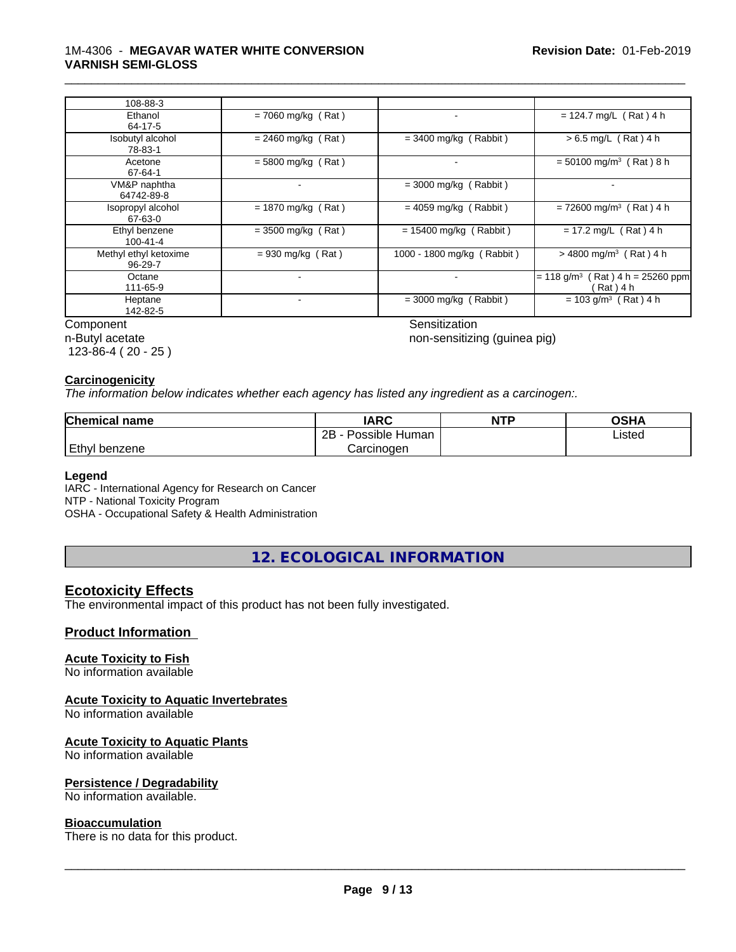#### 1M-4306 - **MEGAVAR WATER WHITE CONVERSION VARNISH SEMI-GLOSS**

| 108-88-3                               |                          |                            |                                                                  |
|----------------------------------------|--------------------------|----------------------------|------------------------------------------------------------------|
| Ethanol<br>64-17-5                     | $= 7060$ mg/kg (Rat)     |                            | $= 124.7$ mg/L (Rat) 4 h                                         |
| Isobutyl alcohol<br>78-83-1            | $= 2460$ mg/kg (Rat)     | $=$ 3400 mg/kg (Rabbit)    | $> 6.5$ mg/L (Rat) 4 h                                           |
| Acetone<br>67-64-1                     | $= 5800$ mg/kg (Rat)     |                            | $=$ 50100 mg/m <sup>3</sup> (Rat) 8 h                            |
| VM&P naphtha<br>64742-89-8             |                          | $=$ 3000 mg/kg (Rabbit)    |                                                                  |
| Isopropyl alcohol<br>67-63-0           | $= 1870$ mg/kg (Rat)     | $= 4059$ mg/kg (Rabbit)    | $= 72600$ mg/m <sup>3</sup> (Rat) 4 h                            |
| Ethyl benzene<br>100-41-4              | $=$ 3500 mg/kg (Rat)     | $= 15400$ mg/kg (Rabbit)   | $= 17.2$ mg/L (Rat) 4 h                                          |
| Methyl ethyl ketoxime<br>$96 - 29 - 7$ | $= 930$ mg/kg (Rat)      | 1000 - 1800 mg/kg (Rabbit) | $>$ 4800 mg/m <sup>3</sup> (Rat) 4 h                             |
| Octane<br>111-65-9                     | $\overline{\phantom{a}}$ | $\overline{\phantom{a}}$   | $= 118$ g/m <sup>3</sup><br>$(Rat)$ 4 h = 25260 ppm<br>(Rat) 4 h |
| Heptane<br>142-82-5                    |                          | $=$ 3000 mg/kg (Rabbit)    | $= 103$ g/m <sup>3</sup> (Rat) 4 h                               |
| Component                              |                          | Sensitization              |                                                                  |

\_\_\_\_\_\_\_\_\_\_\_\_\_\_\_\_\_\_\_\_\_\_\_\_\_\_\_\_\_\_\_\_\_\_\_\_\_\_\_\_\_\_\_\_\_\_\_\_\_\_\_\_\_\_\_\_\_\_\_\_\_\_\_\_\_\_\_\_\_\_\_\_\_\_\_\_\_\_\_\_\_\_\_\_\_\_\_\_\_\_\_\_\_

non-sensitizing (guinea pig)

n-Butyl acetate

123-86-4 ( 20 - 25 )

#### **Carcinogenicity**

*The information below indicateswhether each agency has listed any ingredient as a carcinogen:.*

| <b>Chemical name</b> | <b>IARC</b>          | <b>NTP</b> | <b>OSHA</b> |
|----------------------|----------------------|------------|-------------|
|                      | Possible Human<br>2B |            | Listed      |
| Ethyl<br>i benzene.  | Carcinogen           |            |             |

#### **Legend**

IARC - International Agency for Research on Cancer NTP - National Toxicity Program OSHA - Occupational Safety & Health Administration

**12. ECOLOGICAL INFORMATION**

#### **Ecotoxicity Effects**

The environmental impact of this product has not been fully investigated.

#### **Product Information**

#### **Acute Toxicity to Fish**

No information available

#### **Acute Toxicity to Aquatic Invertebrates**

No information available

#### **Acute Toxicity to Aquatic Plants**

No information available

#### **Persistence / Degradability**

No information available.

#### **Bioaccumulation**

There is no data for this product.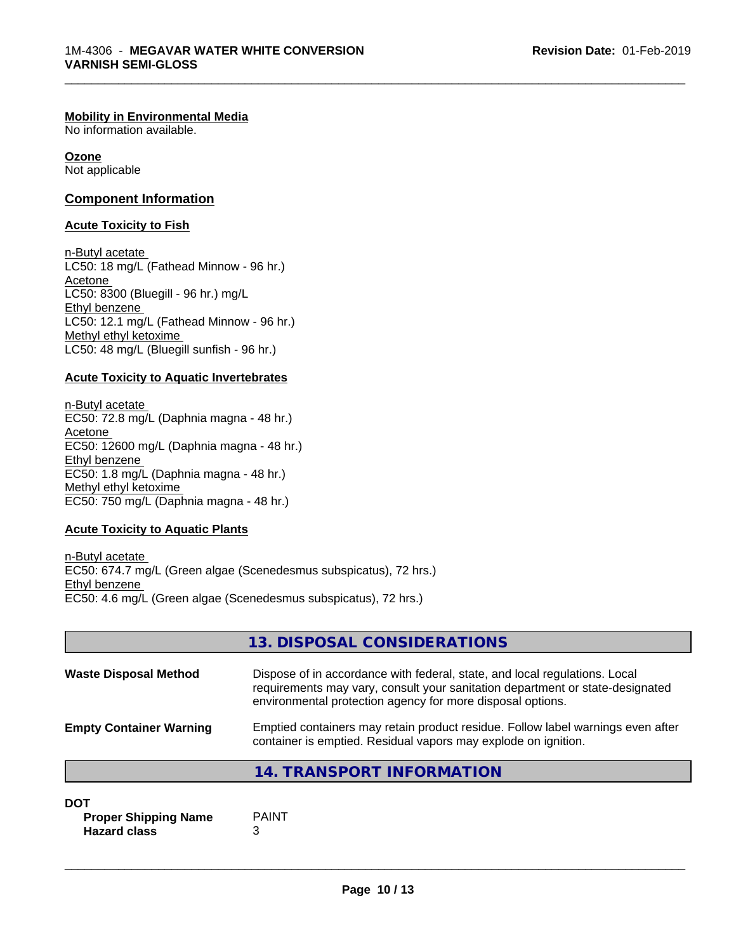#### **Mobility in Environmental Media**

No information available.

**Ozone** Not applicable

#### **Component Information**

#### **Acute Toxicity to Fish**

n-Butyl acetate LC50: 18 mg/L (Fathead Minnow - 96 hr.) Acetone LC50: 8300 (Bluegill - 96 hr.) mg/L Ethyl benzene LC50: 12.1 mg/L (Fathead Minnow - 96 hr.) Methyl ethyl ketoxime LC50: 48 mg/L (Bluegill sunfish - 96 hr.)

#### **Acute Toxicity to Aquatic Invertebrates**

n-Butyl acetate EC50: 72.8 mg/L (Daphnia magna - 48 hr.) Acetone EC50: 12600 mg/L (Daphnia magna - 48 hr.) Ethyl benzene EC50: 1.8 mg/L (Daphnia magna - 48 hr.) Methyl ethyl ketoxime EC50: 750 mg/L (Daphnia magna - 48 hr.)

#### **Acute Toxicity to Aquatic Plants**

n-Butyl acetate EC50: 674.7 mg/L (Green algae (Scenedesmus subspicatus), 72 hrs.) Ethyl benzene EC50: 4.6 mg/L (Green algae (Scenedesmus subspicatus), 72 hrs.)

|                                | 13. DISPOSAL CONSIDERATIONS                                                                                                                                                                                               |
|--------------------------------|---------------------------------------------------------------------------------------------------------------------------------------------------------------------------------------------------------------------------|
| <b>Waste Disposal Method</b>   | Dispose of in accordance with federal, state, and local regulations. Local<br>requirements may vary, consult your sanitation department or state-designated<br>environmental protection agency for more disposal options. |
| <b>Empty Container Warning</b> | Emptied containers may retain product residue. Follow label warnings even after<br>container is emptied. Residual vapors may explode on ignition.                                                                         |
|                                | 14. TRANSPORT INFORMATION                                                                                                                                                                                                 |

# **DOT Proper Shipping Name** PAINT

**Hazard class** 3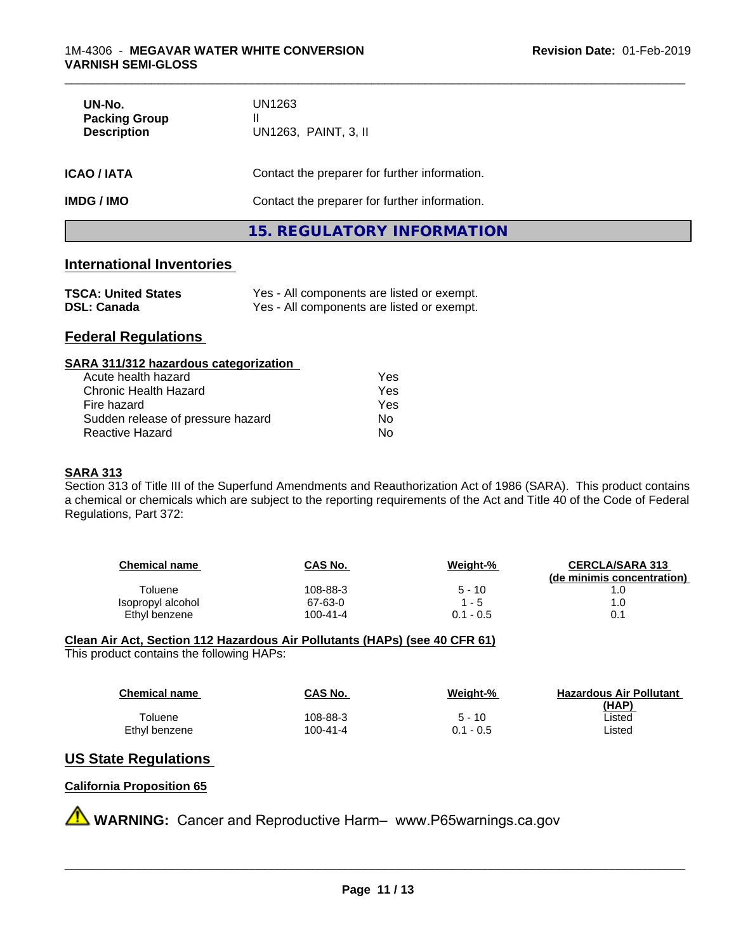| UN-No.<br><b>Packing Group</b><br><b>Description</b> | UN1263<br>Ш<br>UN1263, PAINT, 3, II           |  |  |
|------------------------------------------------------|-----------------------------------------------|--|--|
| <b>ICAO / IATA</b>                                   | Contact the preparer for further information. |  |  |
| <b>IMDG/IMO</b>                                      | Contact the preparer for further information. |  |  |
|                                                      | 15. REGULATORY INFORMATION                    |  |  |

# **International Inventories**

| <b>TSCA: United States</b> | Yes - All components are listed or exempt. |
|----------------------------|--------------------------------------------|
| <b>DSL: Canada</b>         | Yes - All components are listed or exempt. |

# **Federal Regulations**

| SARA 311/312 hazardous categorization |  |
|---------------------------------------|--|
|                                       |  |

| Acute health hazard               | Yes |
|-----------------------------------|-----|
| Chronic Health Hazard             | Yes |
| Fire hazard                       | Yes |
| Sudden release of pressure hazard | N٥  |
| Reactive Hazard                   | N٥  |

#### **SARA 313**

Section 313 of Title III of the Superfund Amendments and Reauthorization Act of 1986 (SARA). This product contains a chemical or chemicals which are subject to the reporting requirements of the Act and Title 40 of the Code of Federal Regulations, Part 372:

| <b>Chemical name</b> | CAS No.  | Weight-%    | <b>CERCLA/SARA 313</b><br>(de minimis concentration) |
|----------------------|----------|-------------|------------------------------------------------------|
| Toluene              | 108-88-3 | $5 - 10$    |                                                      |
| Isopropyl alcohol    | 67-63-0  | 1 - 5       | 1.0                                                  |
| Ethyl benzene        | 100-41-4 | $0.1 - 0.5$ | 0.1                                                  |

# **Clean Air Act,Section 112 Hazardous Air Pollutants (HAPs) (see 40 CFR 61)**

This product contains the following HAPs:

| <b>Chemical name</b> | CAS No.  | Weiaht-%    | <b>Hazardous Air Pollutant</b> |
|----------------------|----------|-------------|--------------------------------|
|                      |          |             | (HAP)                          |
| Toluene              | 108-88-3 | $5 - 10$    | ∟isted                         |
| Ethyl benzene        | 100-41-4 | $0.1 - 0.5$ | Listed                         |

# **US State Regulations**

### **California Proposition 65**

**A** WARNING: Cancer and Reproductive Harm– www.P65warnings.ca.gov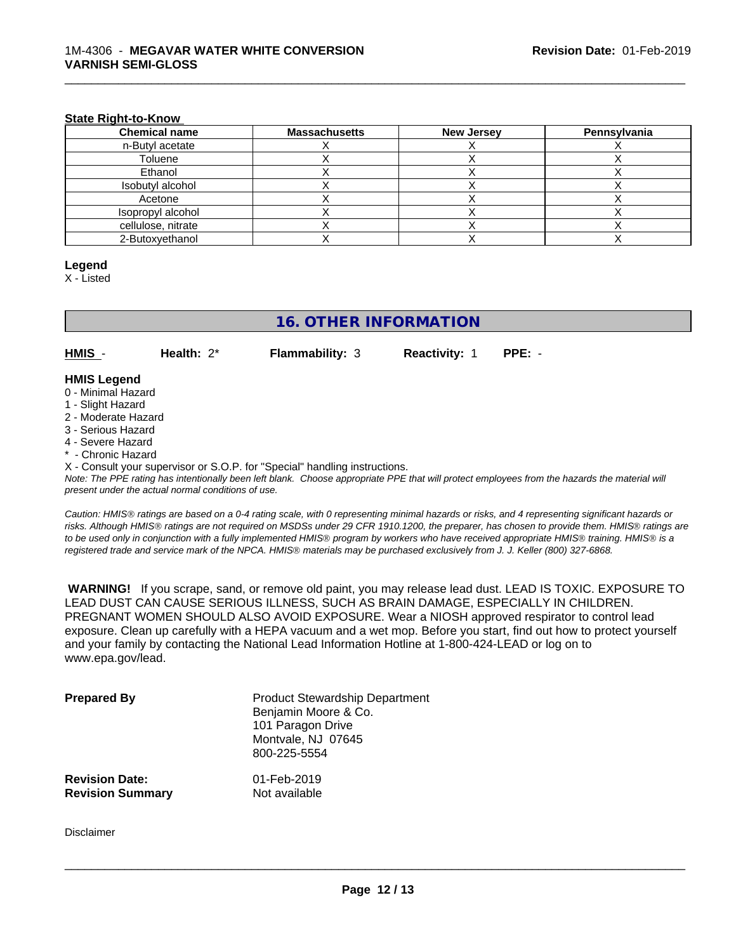#### **State Right-to-Know**

| <b>Chemical name</b> | <b>Massachusetts</b> | <b>New Jersey</b> | Pennsylvania |
|----------------------|----------------------|-------------------|--------------|
| n-Butyl acetate      |                      |                   |              |
| Toluene              |                      |                   |              |
| Ethanol              |                      |                   |              |
| Isobutyl alcohol     |                      |                   |              |
| Acetone              |                      |                   |              |
| Isopropyl alcohol    |                      |                   |              |
| cellulose, nitrate   |                      |                   |              |
| 2-Butoxyethanol      |                      |                   |              |

\_\_\_\_\_\_\_\_\_\_\_\_\_\_\_\_\_\_\_\_\_\_\_\_\_\_\_\_\_\_\_\_\_\_\_\_\_\_\_\_\_\_\_\_\_\_\_\_\_\_\_\_\_\_\_\_\_\_\_\_\_\_\_\_\_\_\_\_\_\_\_\_\_\_\_\_\_\_\_\_\_\_\_\_\_\_\_\_\_\_\_\_\_

#### **Legend**

X - Listed

# **16. OTHER INFORMATION**

**HMIS** - **Health:** 2\* **Flammability:** 3 **Reactivity:** 1 **PPE:** -

#### **HMIS Legend**

- 0 Minimal Hazard
- 1 Slight Hazard
- 2 Moderate Hazard
- 3 Serious Hazard
- 4 Severe Hazard
- \* Chronic Hazard
- X Consult your supervisor or S.O.P. for "Special" handling instructions.

*Note: The PPE rating has intentionally been left blank. Choose appropriate PPE that will protect employees from the hazards the material will present under the actual normal conditions of use.*

*Caution: HMISÒ ratings are based on a 0-4 rating scale, with 0 representing minimal hazards or risks, and 4 representing significant hazards or risks. Although HMISÒ ratings are not required on MSDSs under 29 CFR 1910.1200, the preparer, has chosen to provide them. HMISÒ ratings are to be used only in conjunction with a fully implemented HMISÒ program by workers who have received appropriate HMISÒ training. HMISÒ is a registered trade and service mark of the NPCA. HMISÒ materials may be purchased exclusively from J. J. Keller (800) 327-6868.*

 **WARNING!** If you scrape, sand, or remove old paint, you may release lead dust. LEAD IS TOXIC. EXPOSURE TO LEAD DUST CAN CAUSE SERIOUS ILLNESS, SUCH AS BRAIN DAMAGE, ESPECIALLY IN CHILDREN. PREGNANT WOMEN SHOULD ALSO AVOID EXPOSURE.Wear a NIOSH approved respirator to control lead exposure. Clean up carefully with a HEPA vacuum and a wet mop. Before you start, find out how to protect yourself and your family by contacting the National Lead Information Hotline at 1-800-424-LEAD or log on to www.epa.gov/lead.

| <b>Prepared By</b>      | <b>Product Stewardship Department</b><br>Benjamin Moore & Co.<br>101 Paragon Drive<br>Montvale, NJ 07645<br>800-225-5554 |
|-------------------------|--------------------------------------------------------------------------------------------------------------------------|
| <b>Revision Date:</b>   | 01-Feb-2019                                                                                                              |
| <b>Revision Summary</b> | Not available                                                                                                            |

Disclaimer